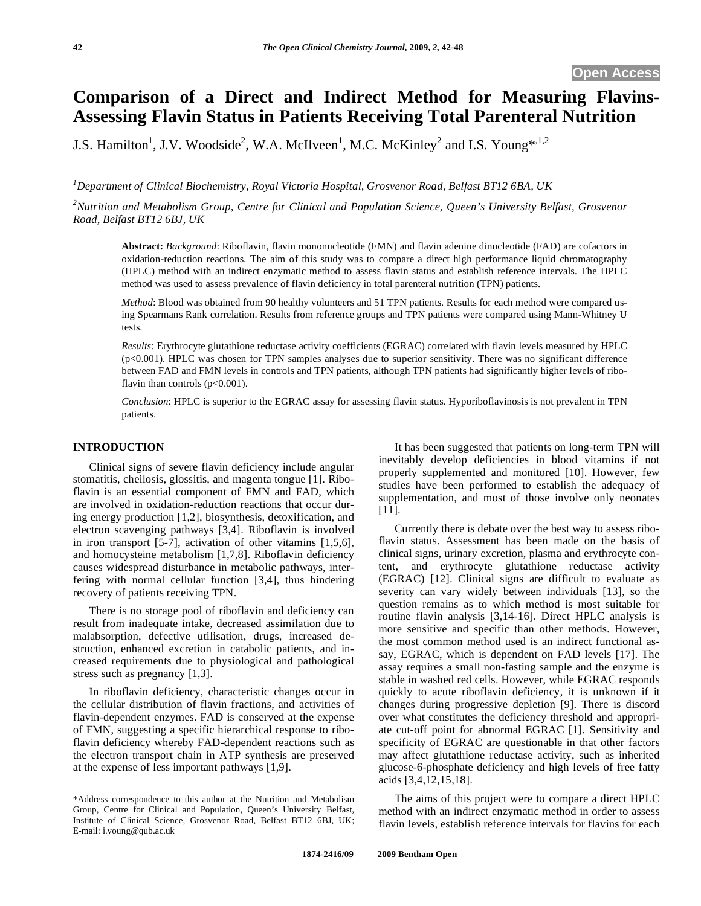# **Comparison of a Direct and Indirect Method for Measuring Flavins-Assessing Flavin Status in Patients Receiving Total Parenteral Nutrition**

J.S. Hamilton<sup>1</sup>, J.V. Woodside<sup>2</sup>, W.A. McIlveen<sup>1</sup>, M.C. McKinley<sup>2</sup> and I.S. Young\*<sup>1,2</sup>

*1 Department of Clinical Biochemistry, Royal Victoria Hospital, Grosvenor Road, Belfast BT12 6BA, UK* 

*2 Nutrition and Metabolism Group, Centre for Clinical and Population Science, Queen's University Belfast, Grosvenor Road, Belfast BT12 6BJ, UK* 

**Abstract:** *Background*: Riboflavin, flavin mononucleotide (FMN) and flavin adenine dinucleotide (FAD) are cofactors in oxidation-reduction reactions. The aim of this study was to compare a direct high performance liquid chromatography (HPLC) method with an indirect enzymatic method to assess flavin status and establish reference intervals. The HPLC method was used to assess prevalence of flavin deficiency in total parenteral nutrition (TPN) patients.

*Method*: Blood was obtained from 90 healthy volunteers and 51 TPN patients. Results for each method were compared using Spearmans Rank correlation. Results from reference groups and TPN patients were compared using Mann-Whitney U tests.

*Results*: Erythrocyte glutathione reductase activity coefficients (EGRAC) correlated with flavin levels measured by HPLC (p<0.001). HPLC was chosen for TPN samples analyses due to superior sensitivity. There was no significant difference between FAD and FMN levels in controls and TPN patients, although TPN patients had significantly higher levels of riboflavin than controls  $(p<0.001)$ .

*Conclusion*: HPLC is superior to the EGRAC assay for assessing flavin status. Hyporiboflavinosis is not prevalent in TPN patients.

## **INTRODUCTION**

 Clinical signs of severe flavin deficiency include angular stomatitis, cheilosis, glossitis, and magenta tongue [1]. Riboflavin is an essential component of FMN and FAD, which are involved in oxidation-reduction reactions that occur during energy production [1,2], biosynthesis, detoxification, and electron scavenging pathways [3,4]. Riboflavin is involved in iron transport [5-7], activation of other vitamins [1,5,6], and homocysteine metabolism [1,7,8]. Riboflavin deficiency causes widespread disturbance in metabolic pathways, interfering with normal cellular function [3,4], thus hindering recovery of patients receiving TPN.

 There is no storage pool of riboflavin and deficiency can result from inadequate intake, decreased assimilation due to malabsorption, defective utilisation, drugs, increased destruction, enhanced excretion in catabolic patients, and increased requirements due to physiological and pathological stress such as pregnancy [1,3].

 In riboflavin deficiency, characteristic changes occur in the cellular distribution of flavin fractions, and activities of flavin-dependent enzymes. FAD is conserved at the expense of FMN, suggesting a specific hierarchical response to riboflavin deficiency whereby FAD-dependent reactions such as the electron transport chain in ATP synthesis are preserved at the expense of less important pathways [1,9].

 It has been suggested that patients on long-term TPN will inevitably develop deficiencies in blood vitamins if not properly supplemented and monitored [10]. However, few studies have been performed to establish the adequacy of supplementation, and most of those involve only neonates [11].

 Currently there is debate over the best way to assess riboflavin status. Assessment has been made on the basis of clinical signs, urinary excretion, plasma and erythrocyte content, and erythrocyte glutathione reductase activity (EGRAC) [12]. Clinical signs are difficult to evaluate as severity can vary widely between individuals [13], so the question remains as to which method is most suitable for routine flavin analysis [3,14-16]. Direct HPLC analysis is more sensitive and specific than other methods. However, the most common method used is an indirect functional assay, EGRAC, which is dependent on FAD levels [17]. The assay requires a small non-fasting sample and the enzyme is stable in washed red cells. However, while EGRAC responds quickly to acute riboflavin deficiency, it is unknown if it changes during progressive depletion [9]. There is discord over what constitutes the deficiency threshold and appropriate cut-off point for abnormal EGRAC [1]. Sensitivity and specificity of EGRAC are questionable in that other factors may affect glutathione reductase activity, such as inherited glucose-6-phosphate deficiency and high levels of free fatty acids [3,4,12,15,18].

 The aims of this project were to compare a direct HPLC method with an indirect enzymatic method in order to assess flavin levels, establish reference intervals for flavins for each

<sup>\*</sup>Address correspondence to this author at the Nutrition and Metabolism Group, Centre for Clinical and Population, Queen's University Belfast, Institute of Clinical Science, Grosvenor Road, Belfast BT12 6BJ, UK; E-mail: i.young@qub.ac.uk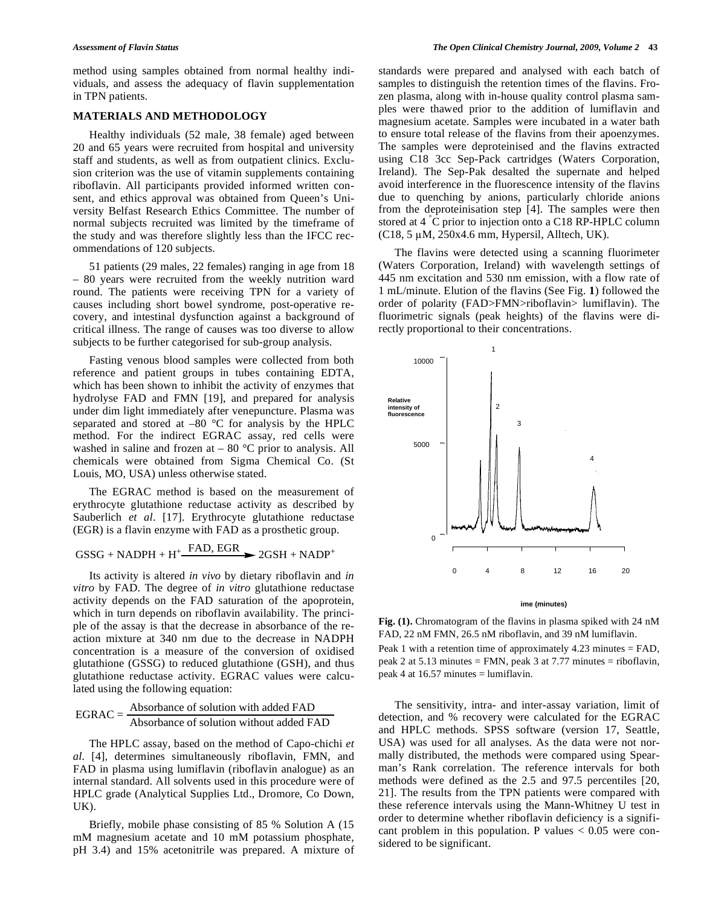method using samples obtained from normal healthy individuals, and assess the adequacy of flavin supplementation in TPN patients.

## **MATERIALS AND METHODOLOGY**

 Healthy individuals (52 male, 38 female) aged between 20 and 65 years were recruited from hospital and university staff and students, as well as from outpatient clinics. Exclusion criterion was the use of vitamin supplements containing riboflavin. All participants provided informed written consent, and ethics approval was obtained from Queen's University Belfast Research Ethics Committee. The number of normal subjects recruited was limited by the timeframe of the study and was therefore slightly less than the IFCC recommendations of 120 subjects.

 51 patients (29 males, 22 females) ranging in age from 18 – 80 years were recruited from the weekly nutrition ward round. The patients were receiving TPN for a variety of causes including short bowel syndrome, post-operative recovery, and intestinal dysfunction against a background of critical illness. The range of causes was too diverse to allow subjects to be further categorised for sub-group analysis.

 Fasting venous blood samples were collected from both reference and patient groups in tubes containing EDTA, which has been shown to inhibit the activity of enzymes that hydrolyse FAD and FMN [19], and prepared for analysis under dim light immediately after venepuncture. Plasma was separated and stored at  $-80$  °C for analysis by the HPLC method. For the indirect EGRAC assay, red cells were washed in saline and frozen at  $-80$  °C prior to analysis. All chemicals were obtained from Sigma Chemical Co. (St Louis, MO, USA) unless otherwise stated.

 The EGRAC method is based on the measurement of erythrocyte glutathione reductase activity as described by Sauberlich *et al*. [17]. Erythrocyte glutathione reductase (EGR) is a flavin enzyme with FAD as a prosthetic group.

$$
GSSG + NADPH + H^{+} \xrightarrow{FAD, EGR} 2GSH + NADP^{+}
$$

 Its activity is altered *in vivo* by dietary riboflavin and *in vitro* by FAD. The degree of *in vitro* glutathione reductase activity depends on the FAD saturation of the apoprotein, which in turn depends on riboflavin availability. The principle of the assay is that the decrease in absorbance of the reaction mixture at 340 nm due to the decrease in NADPH concentration is a measure of the conversion of oxidised glutathione (GSSG) to reduced glutathione (GSH), and thus glutathione reductase activity. EGRAC values were calculated using the following equation:

$$
EGRAC = \frac{Absorbance of solution with added FAD}{Absorbance of solution without added FAD}
$$

 The HPLC assay, based on the method of Capo-chichi *et al*. [4], determines simultaneously riboflavin, FMN, and FAD in plasma using lumiflavin (riboflavin analogue) as an internal standard. All solvents used in this procedure were of HPLC grade (Analytical Supplies Ltd., Dromore, Co Down, UK).

 Briefly, mobile phase consisting of 85 % Solution A (15 mM magnesium acetate and 10 mM potassium phosphate, pH 3.4) and 15% acetonitrile was prepared. A mixture of standards were prepared and analysed with each batch of samples to distinguish the retention times of the flavins. Frozen plasma, along with in-house quality control plasma samples were thawed prior to the addition of lumiflavin and magnesium acetate. Samples were incubated in a water bath to ensure total release of the flavins from their apoenzymes. The samples were deproteinised and the flavins extracted using C18 3cc Sep-Pack cartridges (Waters Corporation, Ireland). The Sep-Pak desalted the supernate and helped avoid interference in the fluorescence intensity of the flavins due to quenching by anions, particularly chloride anions from the deproteinisation step [4]. The samples were then stored at 4 °C prior to injection onto a C18 RP-HPLC column  $(C18, 5 \mu M, 250x4.6 \text{ mm},$  Hypersil, Alltech, UK).

 The flavins were detected using a scanning fluorimeter (Waters Corporation, Ireland) with wavelength settings of 445 nm excitation and 530 nm emission, with a flow rate of 1 mL/minute. Elution of the flavins (See Fig. **1**) followed the order of polarity (FAD>FMN>riboflavin> lumiflavin). The fluorimetric signals (peak heights) of the flavins were directly proportional to their concentrations.



**ime (minutes)** 

**Fig. (1).** Chromatogram of the flavins in plasma spiked with 24 nM FAD, 22 nM FMN, 26.5 nM riboflavin, and 39 nM lumiflavin.

Peak 1 with a retention time of approximately 4.23 minutes = FAD, peak 2 at 5.13 minutes = FMN, peak 3 at 7.77 minutes = riboflavin, peak 4 at 16.57 minutes = lumiflavin.

 The sensitivity, intra- and inter-assay variation, limit of detection, and % recovery were calculated for the EGRAC and HPLC methods. SPSS software (version 17, Seattle, USA) was used for all analyses. As the data were not normally distributed, the methods were compared using Spearman's Rank correlation. The reference intervals for both methods were defined as the 2.5 and 97.5 percentiles [20, 21]. The results from the TPN patients were compared with these reference intervals using the Mann-Whitney U test in order to determine whether riboflavin deficiency is a significant problem in this population. P values  $< 0.05$  were considered to be significant.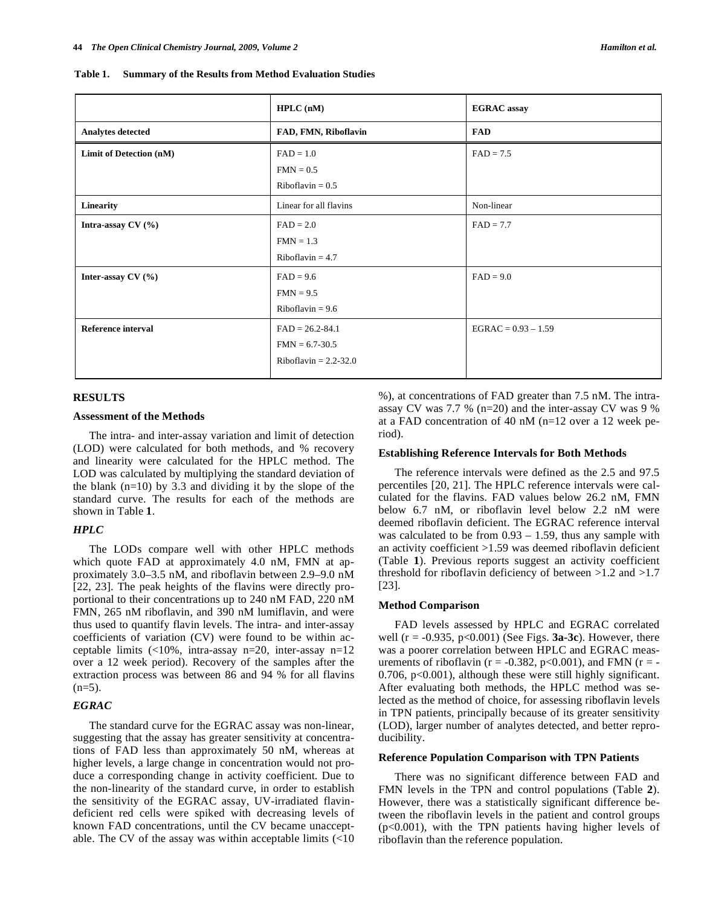|                           | HPLC(nM)                  | <b>EGRAC</b> assay    |
|---------------------------|---------------------------|-----------------------|
| <b>Analytes detected</b>  | FAD, FMN, Riboflavin      | <b>FAD</b>            |
| Limit of Detection (nM)   | $FAD = 1.0$               | $FAD = 7.5$           |
|                           | $FMN = 0.5$               |                       |
|                           | Riboflavin = $0.5$        |                       |
| Linearity                 | Linear for all flavins    | Non-linear            |
| Intra-assay $CV(%)$       | $FAD = 2.0$               | $FAD = 7.7$           |
|                           | $FMN = 1.3$               |                       |
|                           | Riboflavin = $4.7$        |                       |
| Inter-assay $CV(%)$       | $FAD = 9.6$               | $FAD = 9.0$           |
|                           | $FMN = 9.5$               |                       |
|                           | Riboflavin = $9.6$        |                       |
| <b>Reference interval</b> | $FAD = 26.2 - 84.1$       | $EGRAC = 0.93 - 1.59$ |
|                           | $FMN = 6.7 - 30.5$        |                       |
|                           | Riboflavin = $2.2 - 32.0$ |                       |

## **RESULTS**

## **Assessment of the Methods**

 The intra- and inter-assay variation and limit of detection (LOD) were calculated for both methods, and % recovery and linearity were calculated for the HPLC method. The LOD was calculated by multiplying the standard deviation of the blank  $(n=10)$  by 3.3 and dividing it by the slope of the standard curve. The results for each of the methods are shown in Table **1**.

## *HPLC*

 The LODs compare well with other HPLC methods which quote FAD at approximately 4.0 nM, FMN at approximately 3.0–3.5 nM, and riboflavin between 2.9–9.0 nM [22, 23]. The peak heights of the flavins were directly proportional to their concentrations up to 240 nM FAD, 220 nM FMN, 265 nM riboflavin, and 390 nM lumiflavin, and were thus used to quantify flavin levels. The intra- and inter-assay coefficients of variation (CV) were found to be within acceptable limits  $\left($ <10%, intra-assay n=20, inter-assay n=12 over a 12 week period). Recovery of the samples after the extraction process was between 86 and 94 % for all flavins  $(n=5)$ .

## *EGRAC*

 The standard curve for the EGRAC assay was non-linear, suggesting that the assay has greater sensitivity at concentrations of FAD less than approximately 50 nM, whereas at higher levels, a large change in concentration would not produce a corresponding change in activity coefficient. Due to the non-linearity of the standard curve, in order to establish the sensitivity of the EGRAC assay, UV-irradiated flavindeficient red cells were spiked with decreasing levels of known FAD concentrations, until the CV became unacceptable. The CV of the assay was within acceptable limits  $\left($ <10 %), at concentrations of FAD greater than 7.5 nM. The intraassay CV was 7.7 % (n=20) and the inter-assay CV was 9 % at a FAD concentration of 40 nM (n=12 over a 12 week period).

#### **Establishing Reference Intervals for Both Methods**

 The reference intervals were defined as the 2.5 and 97.5 percentiles [20, 21]. The HPLC reference intervals were calculated for the flavins. FAD values below 26.2 nM, FMN below 6.7 nM, or riboflavin level below 2.2 nM were deemed riboflavin deficient. The EGRAC reference interval was calculated to be from  $0.93 - 1.59$ , thus any sample with an activity coefficient >1.59 was deemed riboflavin deficient (Table **1**). Previous reports suggest an activity coefficient threshold for riboflavin deficiency of between >1.2 and >1.7 [23].

#### **Method Comparison**

 FAD levels assessed by HPLC and EGRAC correlated well ( $r = -0.935$ ,  $p < 0.001$ ) (See Figs. **3a-3c**). However, there was a poorer correlation between HPLC and EGRAC measurements of riboflavin ( $r = -0.382$ ,  $p < 0.001$ ), and FMN ( $r = -$ 0.706, p<0.001), although these were still highly significant. After evaluating both methods, the HPLC method was selected as the method of choice, for assessing riboflavin levels in TPN patients, principally because of its greater sensitivity (LOD), larger number of analytes detected, and better reproducibility.

#### **Reference Population Comparison with TPN Patients**

 There was no significant difference between FAD and FMN levels in the TPN and control populations (Table **2**). However, there was a statistically significant difference between the riboflavin levels in the patient and control groups (p<0.001), with the TPN patients having higher levels of riboflavin than the reference population.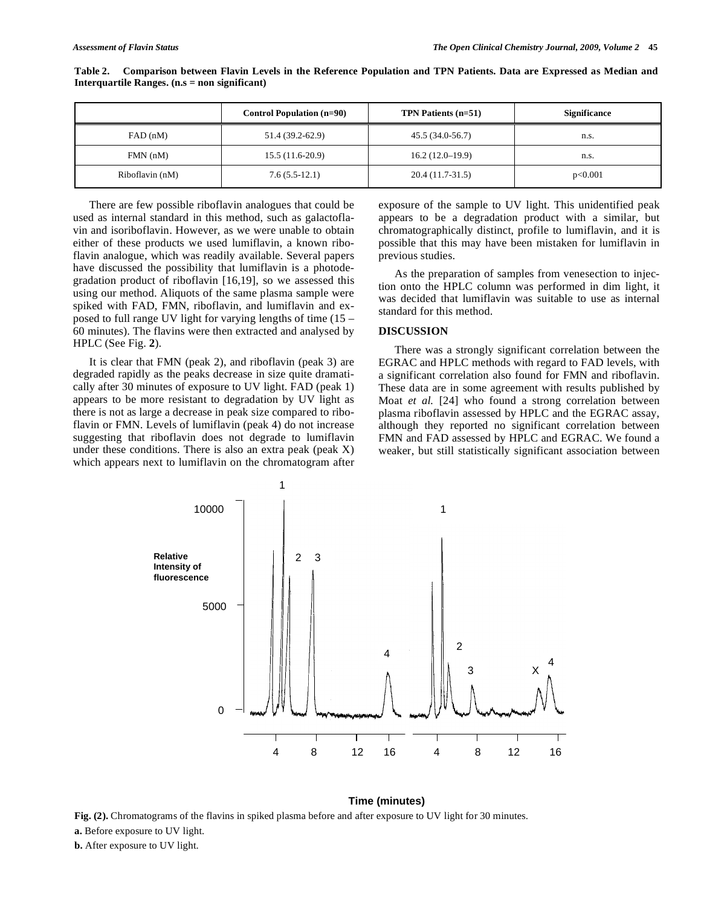|                 | <b>Control Population (n=90)</b> | TPN Patients $(n=51)$ | <b>Significance</b> |
|-----------------|----------------------------------|-----------------------|---------------------|
| FAD(nM)         | 51.4 (39.2-62.9)                 | 45.5 (34.0-56.7)      | n.s.                |
| $FMN$ (nM)      | $15.5(11.6-20.9)$                | $16.2(12.0-19.9)$     | n.s.                |
| Riboflavin (nM) | $7.6(5.5-12.1)$                  | $20.4(11.7-31.5)$     | p<0.001             |

**Table 2. Comparison between Flavin Levels in the Reference Population and TPN Patients. Data are Expressed as Median and Interquartile Ranges. (n.s = non significant)** 

 There are few possible riboflavin analogues that could be used as internal standard in this method, such as galactoflavin and isoriboflavin. However, as we were unable to obtain either of these products we used lumiflavin, a known riboflavin analogue, which was readily available. Several papers have discussed the possibility that lumiflavin is a photodegradation product of riboflavin [16,19], so we assessed this using our method. Aliquots of the same plasma sample were spiked with FAD, FMN, riboflavin, and lumiflavin and exposed to full range UV light for varying lengths of time (15 – 60 minutes). The flavins were then extracted and analysed by HPLC (See Fig. **2**).

 It is clear that FMN (peak 2), and riboflavin (peak 3) are degraded rapidly as the peaks decrease in size quite dramatically after 30 minutes of exposure to UV light. FAD (peak 1) appears to be more resistant to degradation by UV light as there is not as large a decrease in peak size compared to riboflavin or FMN. Levels of lumiflavin (peak 4) do not increase suggesting that riboflavin does not degrade to lumiflavin under these conditions. There is also an extra peak (peak  $X$ ) which appears next to lumiflavin on the chromatogram after exposure of the sample to UV light. This unidentified peak appears to be a degradation product with a similar, but chromatographically distinct, profile to lumiflavin, and it is possible that this may have been mistaken for lumiflavin in previous studies.

 As the preparation of samples from venesection to injection onto the HPLC column was performed in dim light, it was decided that lumiflavin was suitable to use as internal standard for this method.

#### **DISCUSSION**

 There was a strongly significant correlation between the EGRAC and HPLC methods with regard to FAD levels, with a significant correlation also found for FMN and riboflavin. These data are in some agreement with results published by Moat *et al.* [24] who found a strong correlation between plasma riboflavin assessed by HPLC and the EGRAC assay, although they reported no significant correlation between FMN and FAD assessed by HPLC and EGRAC. We found a weaker, but still statistically significant association between



### **Time (minutes)**

**Fig. (2).** Chromatograms of the flavins in spiked plasma before and after exposure to UV light for 30 minutes. **a.** Before exposure to UV light. **b.** After exposure to UV light.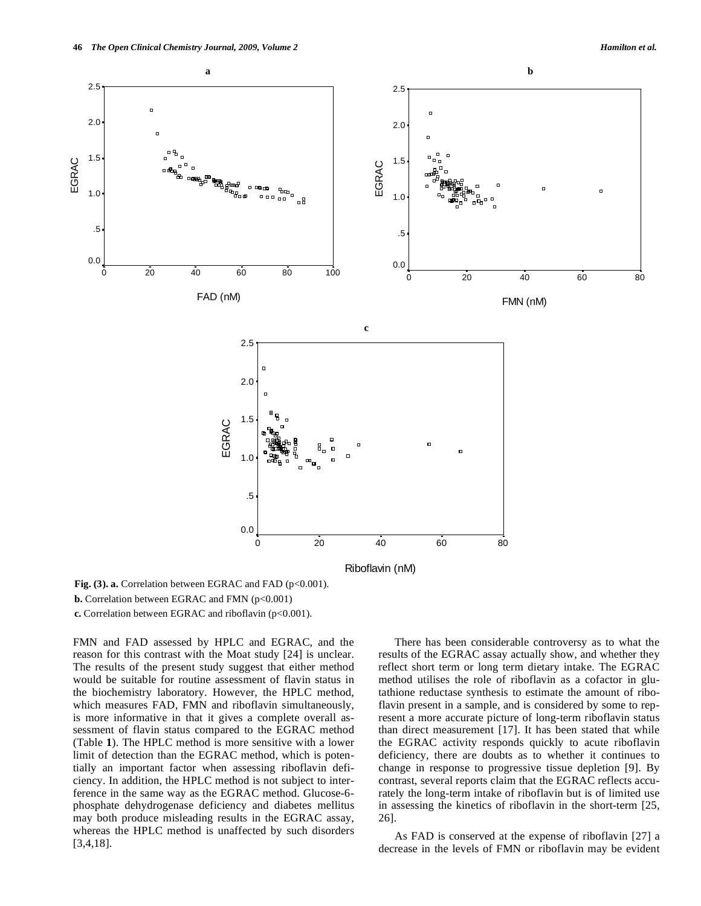

Fig. (3). a. Correlation between EGRAC and FAD (p<0.001). **b.** Correlation between EGRAC and FMN (p<0.001) **c.** Correlation between EGRAC and riboflavin (p<0.001).

FMN and FAD assessed by HPLC and EGRAC, and the reason for this contrast with the Moat study [24] is unclear. The results of the present study suggest that either method would be suitable for routine assessment of flavin status in the biochemistry laboratory. However, the HPLC method, which measures FAD, FMN and riboflavin simultaneously, is more informative in that it gives a complete overall assessment of flavin status compared to the EGRAC method (Table **1**). The HPLC method is more sensitive with a lower limit of detection than the EGRAC method, which is potentially an important factor when assessing riboflavin deficiency. In addition, the HPLC method is not subject to interference in the same way as the EGRAC method. Glucose-6 phosphate dehydrogenase deficiency and diabetes mellitus may both produce misleading results in the EGRAC assay, whereas the HPLC method is unaffected by such disorders [3,4,18].

 There has been considerable controversy as to what the results of the EGRAC assay actually show, and whether they reflect short term or long term dietary intake. The EGRAC method utilises the role of riboflavin as a cofactor in glutathione reductase synthesis to estimate the amount of riboflavin present in a sample, and is considered by some to represent a more accurate picture of long-term riboflavin status than direct measurement [17]. It has been stated that while the EGRAC activity responds quickly to acute riboflavin deficiency, there are doubts as to whether it continues to change in response to progressive tissue depletion [9]. By contrast, several reports claim that the EGRAC reflects accurately the long-term intake of riboflavin but is of limited use in assessing the kinetics of riboflavin in the short-term [25, 26].

 As FAD is conserved at the expense of riboflavin [27] a decrease in the levels of FMN or riboflavin may be evident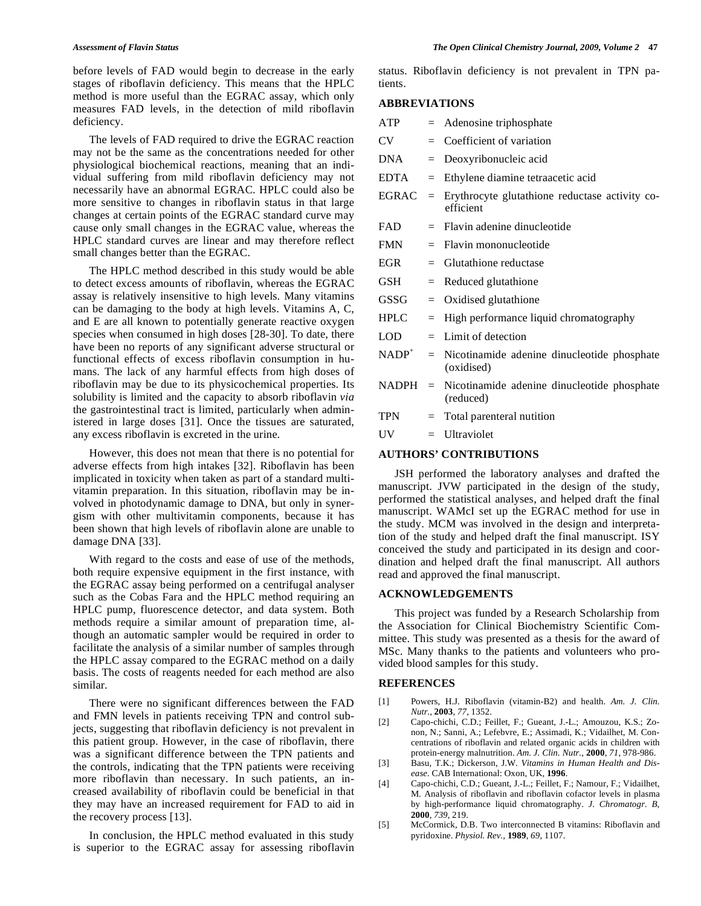before levels of FAD would begin to decrease in the early stages of riboflavin deficiency. This means that the HPLC method is more useful than the EGRAC assay, which only measures FAD levels, in the detection of mild riboflavin deficiency.

 The levels of FAD required to drive the EGRAC reaction may not be the same as the concentrations needed for other physiological biochemical reactions, meaning that an individual suffering from mild riboflavin deficiency may not necessarily have an abnormal EGRAC. HPLC could also be more sensitive to changes in riboflavin status in that large changes at certain points of the EGRAC standard curve may cause only small changes in the EGRAC value, whereas the HPLC standard curves are linear and may therefore reflect small changes better than the EGRAC.

 The HPLC method described in this study would be able to detect excess amounts of riboflavin, whereas the EGRAC assay is relatively insensitive to high levels. Many vitamins can be damaging to the body at high levels. Vitamins A, C, and E are all known to potentially generate reactive oxygen species when consumed in high doses [28-30]. To date, there have been no reports of any significant adverse structural or functional effects of excess riboflavin consumption in humans. The lack of any harmful effects from high doses of riboflavin may be due to its physicochemical properties. Its solubility is limited and the capacity to absorb riboflavin *via*  the gastrointestinal tract is limited, particularly when administered in large doses [31]. Once the tissues are saturated, any excess riboflavin is excreted in the urine.

 However, this does not mean that there is no potential for adverse effects from high intakes [32]. Riboflavin has been implicated in toxicity when taken as part of a standard multivitamin preparation. In this situation, riboflavin may be involved in photodynamic damage to DNA, but only in synergism with other multivitamin components, because it has been shown that high levels of riboflavin alone are unable to damage DNA [33].

 With regard to the costs and ease of use of the methods, both require expensive equipment in the first instance, with the EGRAC assay being performed on a centrifugal analyser such as the Cobas Fara and the HPLC method requiring an HPLC pump, fluorescence detector, and data system. Both methods require a similar amount of preparation time, although an automatic sampler would be required in order to facilitate the analysis of a similar number of samples through the HPLC assay compared to the EGRAC method on a daily basis. The costs of reagents needed for each method are also similar.

 There were no significant differences between the FAD and FMN levels in patients receiving TPN and control subjects, suggesting that riboflavin deficiency is not prevalent in this patient group. However, in the case of riboflavin, there was a significant difference between the TPN patients and the controls, indicating that the TPN patients were receiving more riboflavin than necessary. In such patients, an increased availability of riboflavin could be beneficial in that they may have an increased requirement for FAD to aid in the recovery process [13].

 In conclusion, the HPLC method evaluated in this study is superior to the EGRAC assay for assessing riboflavin status. Riboflavin deficiency is not prevalent in TPN patients.

## **ABBREVIATIONS**

| ATP          |     | $=$ Adenosine triphosphate                                  |
|--------------|-----|-------------------------------------------------------------|
| <b>CV</b>    | $=$ | Coefficient of variation                                    |
| DNA          | $=$ | Deoxyribonucleic acid                                       |
| <b>EDTA</b>  | $=$ | Ethylene diamine tetraacetic acid                           |
| <b>EGRAC</b> | $=$ | Erythrocyte glutathione reductase activity co-<br>efficient |
| FAD.         |     | $=$ Flavin adenine dinucleotide                             |
| <b>FMN</b>   | $=$ | Flavin mononucleotide                                       |
| EGR          | $=$ | Glutathione reductase                                       |
| GSH          | $=$ | Reduced glutathione                                         |
| GSSG         | $=$ | Oxidised glutathione                                        |
| HPLC         | $=$ | High performance liquid chromatography                      |
| <b>LOD</b>   | $=$ | Limit of detection                                          |
| $NADP^+$     | $=$ | Nicotinamide adenine dinucleotide phosphate<br>(oxidised)   |
| <b>NADPH</b> | $=$ | Nicotinamide adenine dinucleotide phosphate<br>(reduced)    |
| TPN          | $=$ | Total parenteral nutition                                   |
| UV           |     | $=$ Ultraviolet                                             |

## **AUTHORS' CONTRIBUTIONS**

 JSH performed the laboratory analyses and drafted the manuscript. JVW participated in the design of the study, performed the statistical analyses, and helped draft the final manuscript. WAMcI set up the EGRAC method for use in the study. MCM was involved in the design and interpretation of the study and helped draft the final manuscript. ISY conceived the study and participated in its design and coordination and helped draft the final manuscript. All authors read and approved the final manuscript.

## **ACKNOWLEDGEMENTS**

 This project was funded by a Research Scholarship from the Association for Clinical Biochemistry Scientific Committee. This study was presented as a thesis for the award of MSc. Many thanks to the patients and volunteers who provided blood samples for this study.

#### **REFERENCES**

- [1] Powers, H.J. Riboflavin (vitamin-B2) and health. *Am. J. Clin. Nutr.,* **2003**, *77*, 1352.
- [2] Capo-chichi, C.D.; Feillet, F.; Gueant, J.-L.; Amouzou, K.S.; Zonon, N.; Sanni, A.; Lefebvre, E.; Assimadi, K.; Vidailhet, M. Concentrations of riboflavin and related organic acids in children with protein-energy malnutrition. *Am. J. Clin. Nutr.,* **2000**, *71*, 978-986.
- [3] Basu, T.K.; Dickerson, J.W. *Vitamins in Human Health and Disease.* CAB International: Oxon, UK, **1996**.
- [4] Capo-chichi, C.D.; Gueant, J.-L.; Feillet, F.; Namour, F.; Vidailhet, M. Analysis of riboflavin and riboflavin cofactor levels in plasma by high-performance liquid chromatography. *J. Chromatogr. B,*  **2000**, *739*, 219.
- [5] McCormick, D.B. Two interconnected B vitamins: Riboflavin and pyridoxine. *Physiol. Rev.,* **1989**, *69*, 1107.